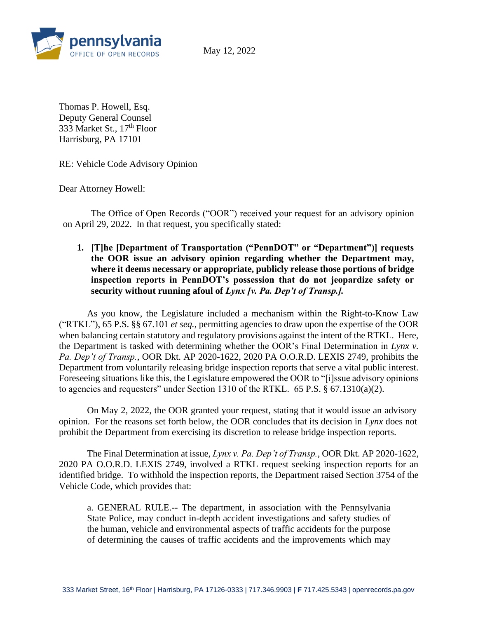

May 12, 2022

Thomas P. Howell, Esq. Deputy General Counsel 333 Market St.,  $17<sup>th</sup>$  Floor Harrisburg, PA 17101

RE: Vehicle Code Advisory Opinion

Dear Attorney Howell:

The Office of Open Records ("OOR") received your request for an advisory opinion on April 29, 2022. In that request, you specifically stated:

**1. [T]he [Department of Transportation ("PennDOT" or "Department")] requests the OOR issue an advisory opinion regarding whether the Department may, where it deems necessary or appropriate, publicly release those portions of bridge inspection reports in PennDOT's possession that do not jeopardize safety or security without running afoul of** *Lynx [v. Pa. Dep't of Transp.].*

As you know, the Legislature included a mechanism within the Right-to-Know Law ("RTKL"), 65 P.S. §§ 67.101 *et seq.*, permitting agencies to draw upon the expertise of the OOR when balancing certain statutory and regulatory provisions against the intent of the RTKL. Here, the Department is tasked with determining whether the OOR's Final Determination in *Lynx v. Pa. Dep't of Transp.*, OOR Dkt. AP 2020-1622, 2020 PA O.O.R.D. LEXIS 2749, prohibits the Department from voluntarily releasing bridge inspection reports that serve a vital public interest. Foreseeing situations like this, the Legislature empowered the OOR to "[i]ssue advisory opinions to agencies and requesters" under Section 1310 of the RTKL. 65 P.S. § 67.1310(a)(2).

On May 2, 2022, the OOR granted your request, stating that it would issue an advisory opinion. For the reasons set forth below, the OOR concludes that its decision in *Lynx* does not prohibit the Department from exercising its discretion to release bridge inspection reports.

The Final Determination at issue, *Lynx v. Pa. Dep't of Transp.*, OOR Dkt. AP 2020-1622, 2020 PA O.O.R.D. LEXIS 2749, involved a RTKL request seeking inspection reports for an identified bridge. To withhold the inspection reports, the Department raised Section 3754 of the Vehicle Code, which provides that:

a. GENERAL RULE.-- The department, in association with the Pennsylvania State Police, may conduct in-depth accident investigations and safety studies of the human, vehicle and environmental aspects of traffic accidents for the purpose of determining the causes of traffic accidents and the improvements which may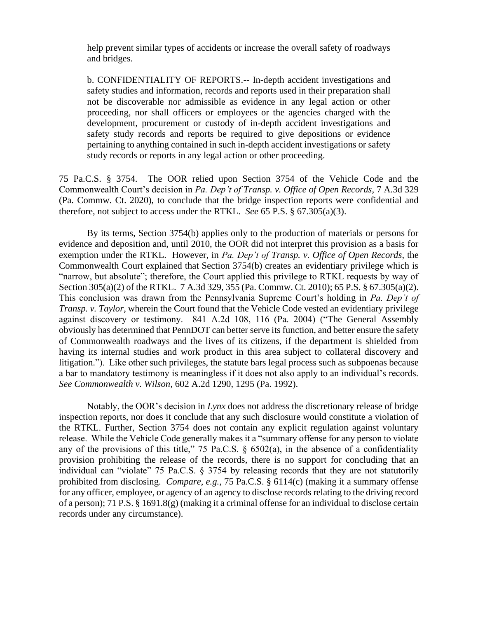help prevent similar types of accidents or increase the overall safety of roadways and bridges.

b. CONFIDENTIALITY OF REPORTS.-- In-depth accident investigations and safety studies and information, records and reports used in their preparation shall not be discoverable nor admissible as evidence in any legal action or other proceeding, nor shall officers or employees or the agencies charged with the development, procurement or custody of in-depth accident investigations and safety study records and reports be required to give depositions or evidence pertaining to anything contained in such in-depth accident investigations or safety study records or reports in any legal action or other proceeding.

75 Pa.C.S. § 3754. The OOR relied upon Section 3754 of the Vehicle Code and the Commonwealth Court's decision in *Pa. Dep't of Transp. v. Office of Open Records*, 7 A.3d 329 (Pa. Commw. Ct. 2020), to conclude that the bridge inspection reports were confidential and therefore, not subject to access under the RTKL. *See* 65 P.S. § 67.305(a)(3).

By its terms, Section 3754(b) applies only to the production of materials or persons for evidence and deposition and, until 2010, the OOR did not interpret this provision as a basis for exemption under the RTKL. However, in *Pa. Dep't of Transp. v. Office of Open Records*, the Commonwealth Court explained that Section 3754(b) creates an evidentiary privilege which is "narrow, but absolute"; therefore, the Court applied this privilege to RTKL requests by way of Section 305(a)(2) of the RTKL. 7 A.3d 329, 355 (Pa. Commw. Ct. 2010); 65 P.S. § 67.305(a)(2). This conclusion was drawn from the Pennsylvania Supreme Court's holding in *Pa. Dep't of Transp. v. Taylor*, wherein the Court found that the Vehicle Code vested an evidentiary privilege against discovery or testimony. 841 A.2d 108, 116 (Pa. 2004) ("The General Assembly obviously has determined that PennDOT can better serve its function, and better ensure the safety of Commonwealth roadways and the lives of its citizens, if the department is shielded from having its internal studies and work product in this area subject to collateral discovery and litigation."). Like other such privileges, the statute bars legal process such as subpoenas because a bar to mandatory testimony is meaningless if it does not also apply to an individual's records. *See Commonwealth v. Wilson*, 602 A.2d 1290, 1295 (Pa. 1992).

Notably, the OOR's decision in *Lynx* does not address the discretionary release of bridge inspection reports, nor does it conclude that any such disclosure would constitute a violation of the RTKL. Further, Section 3754 does not contain any explicit regulation against voluntary release. While the Vehicle Code generally makes it a "summary offense for any person to violate any of the provisions of this title," 75 Pa.C.S.  $\S$  6502(a), in the absence of a confidentiality provision prohibiting the release of the records, there is no support for concluding that an individual can "violate" 75 Pa.C.S. § 3754 by releasing records that they are not statutorily prohibited from disclosing. *Compare*, *e.g.*, 75 Pa.C.S. § 6114(c) (making it a summary offense for any officer, employee, or agency of an agency to disclose records relating to the driving record of a person); 71 P.S. § 1691.8(g) (making it a criminal offense for an individual to disclose certain records under any circumstance).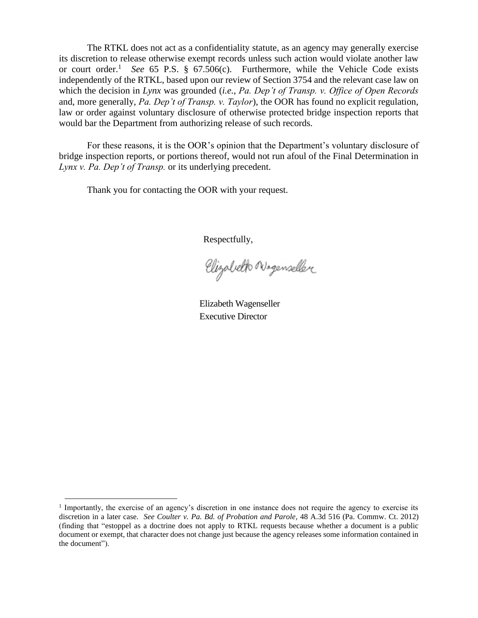The RTKL does not act as a confidentiality statute, as an agency may generally exercise its discretion to release otherwise exempt records unless such action would violate another law or court order.<sup>1</sup> *See* 65 P.S. § 67.506(c). Furthermore, while the Vehicle Code exists independently of the RTKL, based upon our review of Section 3754 and the relevant case law on which the decision in *Lynx* was grounded (*i.e.*, *Pa. Dep't of Transp. v. Office of Open Records* and, more generally, *Pa. Dep't of Transp. v. Taylor*), the OOR has found no explicit regulation, law or order against voluntary disclosure of otherwise protected bridge inspection reports that would bar the Department from authorizing release of such records.

For these reasons, it is the OOR's opinion that the Department's voluntary disclosure of bridge inspection reports, or portions thereof, would not run afoul of the Final Determination in *Lynx v. Pa. Dep't of Transp.* or its underlying precedent.

Thank you for contacting the OOR with your request.

Respectfully,

Elizabeth Nogenseller

Elizabeth Wagenseller Executive Director

<sup>&</sup>lt;sup>1</sup> Importantly, the exercise of an agency's discretion in one instance does not require the agency to exercise its discretion in a later case. *See Coulter v. Pa. Bd. of Probation and Parole*, 48 A.3d 516 (Pa. Commw. Ct. 2012) (finding that "estoppel as a doctrine does not apply to RTKL requests because whether a document is a public document or exempt, that character does not change just because the agency releases some information contained in the document").